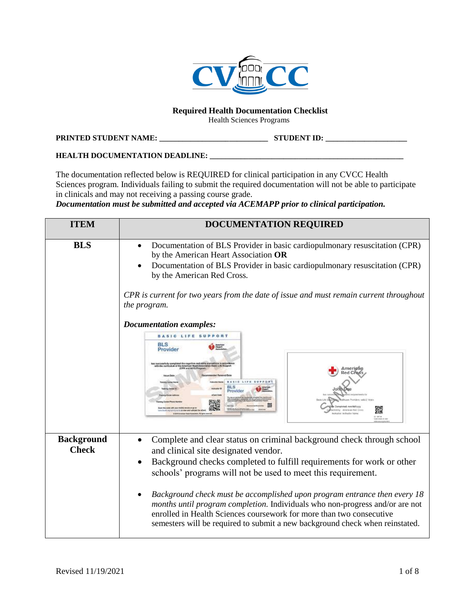

#### **Required Health Documentation Checklist**

Health Sciences Programs

#### **PRINTED STUDENT NAME: \_\_\_\_\_\_\_\_\_\_\_\_\_\_\_\_\_\_\_\_\_\_\_\_\_\_\_\_ STUDENT ID: \_\_\_\_\_\_\_\_\_\_\_\_\_\_\_\_\_\_\_\_\_**

#### **HEALTH DOCUMENTATION DEADLINE: \_\_\_\_\_\_\_\_\_\_\_\_\_\_\_\_\_\_\_\_\_\_\_\_\_\_\_\_\_\_\_\_\_\_\_\_\_\_\_\_\_\_\_\_\_\_\_\_\_\_**

The documentation reflected below is REQUIRED for clinical participation in any CVCC Health Sciences program. Individuals failing to submit the required documentation will not be able to participate in clinicals and may not receiving a passing course grade.

*Documentation must be submitted and accepted via ACEMAPP prior to clinical participation.* 

| <b>ITEM</b>                       | <b>DOCUMENTATION REQUIRED</b>                                                                                                                                                                                                                                                                                                                                                                                                                                                                                                                                                                                                                                                                                        |
|-----------------------------------|----------------------------------------------------------------------------------------------------------------------------------------------------------------------------------------------------------------------------------------------------------------------------------------------------------------------------------------------------------------------------------------------------------------------------------------------------------------------------------------------------------------------------------------------------------------------------------------------------------------------------------------------------------------------------------------------------------------------|
| <b>BLS</b>                        | Documentation of BLS Provider in basic cardiopulmonary resuscitation (CPR)<br>$\bullet$<br>by the American Heart Association OR<br>Documentation of BLS Provider in basic cardiopulmonary resuscitation (CPR)<br>by the American Red Cross.<br>CPR is current for two years from the date of issue and must remain current throughout<br>the program.<br><b>Documentation examples:</b><br><b>BASIC LIFE SUPPORT</b><br><b>BLS</b><br>Heart<br>Provider<br>astudy comploted the cognitive and skills system<br>I have culminated in American Hassi Association II<br>in Basic Life S<br>Amerigan<br>BLS<br>John I<br>Provider<br>Completed: mm/dd/yyyy<br>icted by: American Red Cross<br>estructor: Instructor Name |
| <b>Background</b><br><b>Check</b> | Complete and clear status on criminal background check through school<br>$\bullet$<br>and clinical site designated vendor.<br>Background checks completed to fulfill requirements for work or other<br>$\bullet$<br>schools' programs will not be used to meet this requirement.<br>Background check must be accomplished upon program entrance then every 18<br>$\bullet$<br>months until program completion. Individuals who non-progress and/or are not<br>enrolled in Health Sciences coursework for more than two consecutive<br>semesters will be required to submit a new background check when reinstated.                                                                                                   |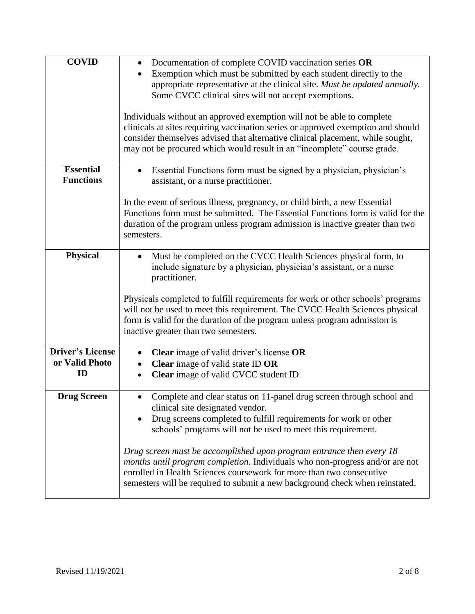| <b>COVID</b>                                    | Documentation of complete COVID vaccination series OR<br>$\bullet$<br>Exemption which must be submitted by each student directly to the<br>appropriate representative at the clinical site. Must be updated annually.<br>Some CVCC clinical sites will not accept exemptions.<br>Individuals without an approved exemption will not be able to complete<br>clinicals at sites requiring vaccination series or approved exemption and should<br>consider themselves advised that alternative clinical placement, while sought,<br>may not be procured which would result in an "incomplete" course grade. |
|-------------------------------------------------|----------------------------------------------------------------------------------------------------------------------------------------------------------------------------------------------------------------------------------------------------------------------------------------------------------------------------------------------------------------------------------------------------------------------------------------------------------------------------------------------------------------------------------------------------------------------------------------------------------|
| <b>Essential</b><br><b>Functions</b>            | Essential Functions form must be signed by a physician, physician's<br>assistant, or a nurse practitioner.<br>In the event of serious illness, pregnancy, or child birth, a new Essential<br>Functions form must be submitted. The Essential Functions form is valid for the<br>duration of the program unless program admission is inactive greater than two<br>semesters.                                                                                                                                                                                                                              |
| <b>Physical</b>                                 | Must be completed on the CVCC Health Sciences physical form, to<br>include signature by a physician, physician's assistant, or a nurse<br>practitioner.<br>Physicals completed to fulfill requirements for work or other schools' programs<br>will not be used to meet this requirement. The CVCC Health Sciences physical<br>form is valid for the duration of the program unless program admission is<br>inactive greater than two semesters.                                                                                                                                                          |
| <b>Driver's License</b><br>or Valid Photo<br>ID | Clear image of valid driver's license OR<br>Clear image of valid state ID OR<br>Clear image of valid CVCC student ID                                                                                                                                                                                                                                                                                                                                                                                                                                                                                     |
| <b>Drug Screen</b>                              | Complete and clear status on 11-panel drug screen through school and<br>$\bullet$<br>clinical site designated vendor.<br>Drug screens completed to fulfill requirements for work or other<br>schools' programs will not be used to meet this requirement.<br>Drug screen must be accomplished upon program entrance then every 18<br>months until program completion. Individuals who non-progress and/or are not<br>enrolled in Health Sciences coursework for more than two consecutive<br>semesters will be required to submit a new background check when reinstated.                                |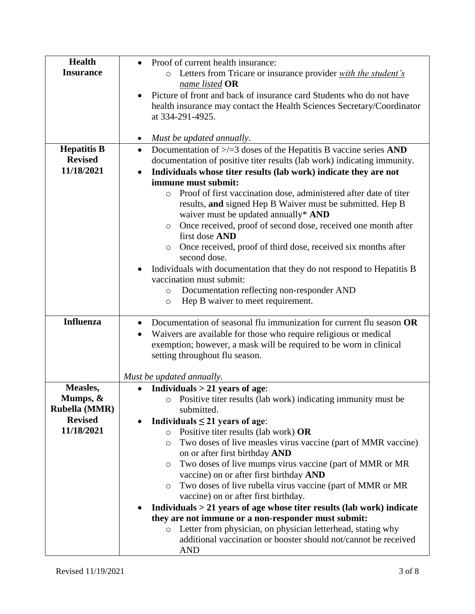| <b>Health</b>        | Proof of current health insurance:<br>$\bullet$                                      |
|----------------------|--------------------------------------------------------------------------------------|
| <b>Insurance</b>     | Letters from Tricare or insurance provider with the student's<br>$\circ$             |
|                      | name listed OR                                                                       |
|                      | Picture of front and back of insurance card Students who do not have<br>$\bullet$    |
|                      | health insurance may contact the Health Sciences Secretary/Coordinator               |
|                      |                                                                                      |
|                      | at 334-291-4925.                                                                     |
|                      |                                                                                      |
|                      | Must be updated annually.<br>$\bullet$                                               |
| <b>Hepatitis B</b>   | Documentation of $\ge$ /=3 doses of the Hepatitis B vaccine series AND<br>$\bullet$  |
| <b>Revised</b>       | documentation of positive titer results (lab work) indicating immunity.              |
| 11/18/2021           | Individuals whose titer results (lab work) indicate they are not<br>$\bullet$        |
|                      | immune must submit:                                                                  |
|                      |                                                                                      |
|                      | Proof of first vaccination dose, administered after date of titer<br>$\circ$         |
|                      | results, and signed Hep B Waiver must be submitted. Hep B                            |
|                      | waiver must be updated annually* AND                                                 |
|                      | Once received, proof of second dose, received one month after<br>$\circ$             |
|                      | first dose AND                                                                       |
|                      | Once received, proof of third dose, received six months after<br>O                   |
|                      | second dose.                                                                         |
|                      | Individuals with documentation that they do not respond to Hepatitis B               |
|                      | vaccination must submit:                                                             |
|                      |                                                                                      |
|                      | Documentation reflecting non-responder AND<br>$\circ$                                |
|                      | Hep B waiver to meet requirement.<br>$\circ$                                         |
|                      |                                                                                      |
| <b>Influenza</b>     | Documentation of seasonal flu immunization for current flu season OR<br>$\bullet$    |
|                      | Waivers are available for those who require religious or medical<br>$\bullet$        |
|                      | exemption; however, a mask will be required to be worn in clinical                   |
|                      | setting throughout flu season.                                                       |
|                      |                                                                                      |
|                      | Must be updated annually.                                                            |
| Measles,             | Individuals $> 21$ years of age:                                                     |
| Mumps, &             | Positive titer results (lab work) indicating immunity must be<br>O                   |
| <b>Rubella (MMR)</b> | submitted.                                                                           |
| <b>Revised</b>       | Individuals $\leq$ 21 years of age:                                                  |
| 11/18/2021           |                                                                                      |
|                      | Positive titer results (lab work) OR<br>$\circ$                                      |
|                      | Two doses of live measles virus vaccine (part of MMR vaccine)<br>O                   |
|                      | on or after first birthday AND                                                       |
|                      | Two doses of live mumps virus vaccine (part of MMR or MR<br>O                        |
|                      | vaccine) on or after first birthday AND                                              |
|                      | Two doses of live rubella virus vaccine (part of MMR or MR<br>O                      |
|                      | vaccine) on or after first birthday.                                                 |
|                      | Individuals $>$ 21 years of age whose titer results (lab work) indicate<br>$\bullet$ |
|                      | they are not immune or a non-responder must submit:                                  |
|                      |                                                                                      |
|                      | Letter from physician, on physician letterhead, stating why<br>$\circ$               |
|                      | additional vaccination or booster should not/cannot be received                      |
|                      | <b>AND</b>                                                                           |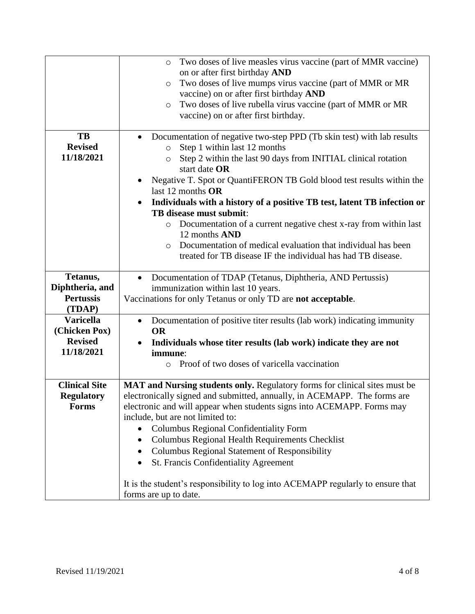|                      | Two doses of live measles virus vaccine (part of MMR vaccine)<br>$\circ$                     |
|----------------------|----------------------------------------------------------------------------------------------|
|                      | on or after first birthday AND                                                               |
|                      | Two doses of live mumps virus vaccine (part of MMR or MR<br>$\circ$                          |
|                      | vaccine) on or after first birthday AND                                                      |
|                      | Two doses of live rubella virus vaccine (part of MMR or MR<br>$\circ$                        |
|                      | vaccine) on or after first birthday.                                                         |
|                      |                                                                                              |
| TB                   | Documentation of negative two-step PPD (Tb skin test) with lab results                       |
| <b>Revised</b>       | Step 1 within last 12 months<br>$\circ$                                                      |
| 11/18/2021           | Step 2 within the last 90 days from INITIAL clinical rotation<br>$\circ$                     |
|                      | start date OR                                                                                |
|                      | Negative T. Spot or QuantiFERON TB Gold blood test results within the                        |
|                      | last 12 months OR                                                                            |
|                      | Individuals with a history of a positive TB test, latent TB infection or                     |
|                      | TB disease must submit:                                                                      |
|                      |                                                                                              |
|                      | Documentation of a current negative chest x-ray from within last<br>$\circ$<br>12 months AND |
|                      |                                                                                              |
|                      | Documentation of medical evaluation that individual has been<br>$\circ$                      |
|                      | treated for TB disease IF the individual has had TB disease.                                 |
|                      |                                                                                              |
| Tetanus,             | Documentation of TDAP (Tetanus, Diphtheria, AND Pertussis)<br>$\bullet$                      |
| Diphtheria, and      | immunization within last 10 years.                                                           |
| <b>Pertussis</b>     | Vaccinations for only Tetanus or only TD are not acceptable.                                 |
| (TDAP)               |                                                                                              |
| <b>Varicella</b>     | Documentation of positive titer results (lab work) indicating immunity<br>$\bullet$          |
| (Chicken Pox)        | <b>OR</b>                                                                                    |
| <b>Revised</b>       | Individuals whose titer results (lab work) indicate they are not                             |
| 11/18/2021           | immune:                                                                                      |
|                      | Proof of two doses of varicella vaccination<br>$\circ$                                       |
|                      |                                                                                              |
| <b>Clinical Site</b> | MAT and Nursing students only. Regulatory forms for clinical sites must be                   |
| <b>Regulatory</b>    | electronically signed and submitted, annually, in ACEMAPP. The forms are                     |
| <b>Forms</b>         | electronic and will appear when students signs into ACEMAPP. Forms may                       |
|                      | include, but are not limited to:                                                             |
|                      | <b>Columbus Regional Confidentiality Form</b>                                                |
|                      | Columbus Regional Health Requirements Checklist<br>$\bullet$                                 |
|                      | Columbus Regional Statement of Responsibility                                                |
|                      | St. Francis Confidentiality Agreement                                                        |
|                      |                                                                                              |
|                      | It is the student's responsibility to log into ACEMAPP regularly to ensure that              |
|                      | forms are up to date.                                                                        |
|                      |                                                                                              |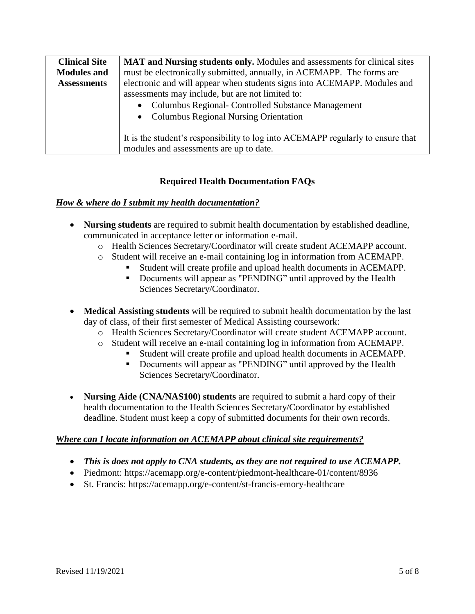| <b>Clinical Site</b> | MAT and Nursing students only. Modules and assessments for clinical sites                                                  |
|----------------------|----------------------------------------------------------------------------------------------------------------------------|
| <b>Modules and</b>   | must be electronically submitted, annually, in ACEMAPP. The forms are                                                      |
| <b>Assessments</b>   | electronic and will appear when students signs into ACEMAPP. Modules and                                                   |
|                      | assessments may include, but are not limited to:                                                                           |
|                      | Columbus Regional- Controlled Substance Management<br>$\bullet$                                                            |
|                      | • Columbus Regional Nursing Orientation                                                                                    |
|                      | It is the student's responsibility to log into ACEMAPP regularly to ensure that<br>modules and assessments are up to date. |

## **Required Health Documentation FAQs**

## *How & where do I submit my health documentation?*

- **Nursing students** are required to submit health documentation by established deadline, communicated in acceptance letter or information e-mail.
	- o Health Sciences Secretary/Coordinator will create student ACEMAPP account.
	- o Student will receive an e-mail containing log in information from ACEMAPP.
		- Student will create profile and upload health documents in ACEMAPP.
		- Documents will appear as "PENDING" until approved by the Health Sciences Secretary/Coordinator.
- **Medical Assisting students** will be required to submit health documentation by the last day of class, of their first semester of Medical Assisting coursework:
	- o Health Sciences Secretary/Coordinator will create student ACEMAPP account.
	- o Student will receive an e-mail containing log in information from ACEMAPP.
		- Student will create profile and upload health documents in ACEMAPP.
		- Documents will appear as "PENDING" until approved by the Health Sciences Secretary/Coordinator.
- **Nursing Aide (CNA/NAS100) students** are required to submit a hard copy of their health documentation to the Health Sciences Secretary/Coordinator by established deadline. Student must keep a copy of submitted documents for their own records.

## *Where can I locate information on ACEMAPP about clinical site requirements?*

- *This is does not apply to CNA students, as they are not required to use ACEMAPP.*
- Piedmont: https://acemapp.org/e-content/piedmont-healthcare-01/content/8936
- St. Francis: https://acemapp.org/e-content/st-francis-emory-healthcare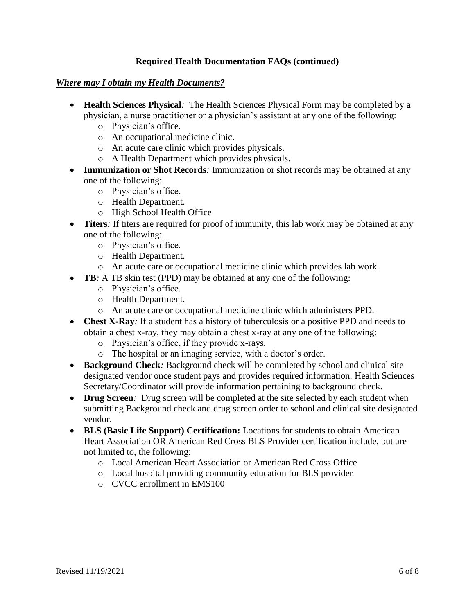## **Required Health Documentation FAQs (continued)**

#### *Where may I obtain my Health Documents?*

- **Health Sciences Physical***:* The Health Sciences Physical Form may be completed by a physician, a nurse practitioner or a physician's assistant at any one of the following:
	- o Physician's office.
	- o An occupational medicine clinic.
	- o An acute care clinic which provides physicals.
	- o A Health Department which provides physicals.
- **Immunization or Shot Records**: Immunization or shot records may be obtained at any one of the following:
	- o Physician's office.
	- o Health Department.
	- o High School Health Office
- **Titers**: If titers are required for proof of immunity, this lab work may be obtained at any one of the following:
	- o Physician's office.
	- o Health Department.
	- o An acute care or occupational medicine clinic which provides lab work.
- **TB**: A TB skin test (PPD) may be obtained at any one of the following:
	- o Physician's office.
	- o Health Department.
	- o An acute care or occupational medicine clinic which administers PPD.
- **Chest X-Ray**: If a student has a history of tuberculosis or a positive PPD and needs to obtain a chest x-ray, they may obtain a chest x-ray at any one of the following:
	- o Physician's office, if they provide x-rays.
	- o The hospital or an imaging service, with a doctor's order.
- **Background Check**: Background check will be completed by school and clinical site designated vendor once student pays and provides required information. Health Sciences Secretary/Coordinator will provide information pertaining to background check.
- **Drug Screen**: Drug screen will be completed at the site selected by each student when submitting Background check and drug screen order to school and clinical site designated vendor.
- **BLS (Basic Life Support) Certification:** Locations for students to obtain American Heart Association OR American Red Cross BLS Provider certification include, but are not limited to, the following:
	- o Local American Heart Association or American Red Cross Office
	- o Local hospital providing community education for BLS provider
	- o CVCC enrollment in EMS100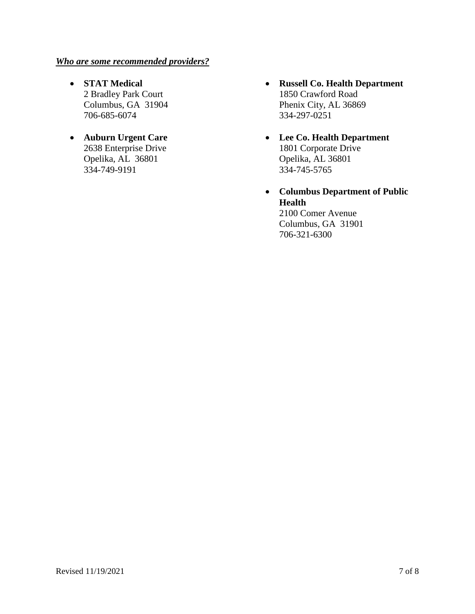### *Who are some recommended providers?*

- **STAT Medical** 2 Bradley Park Court Columbus, GA 31904 706-685-6074
- **Auburn Urgent Care** 2638 Enterprise Drive Opelika, AL 36801 334-749-9191
- **Russell Co. Health Department** 1850 Crawford Road Phenix City, AL 36869 334-297-0251
- **Lee Co. Health Department** 1801 Corporate Drive Opelika, AL 36801 334-745-5765
- **Columbus Department of Public Health** 2100 Comer Avenue Columbus, GA 31901 706-321-6300